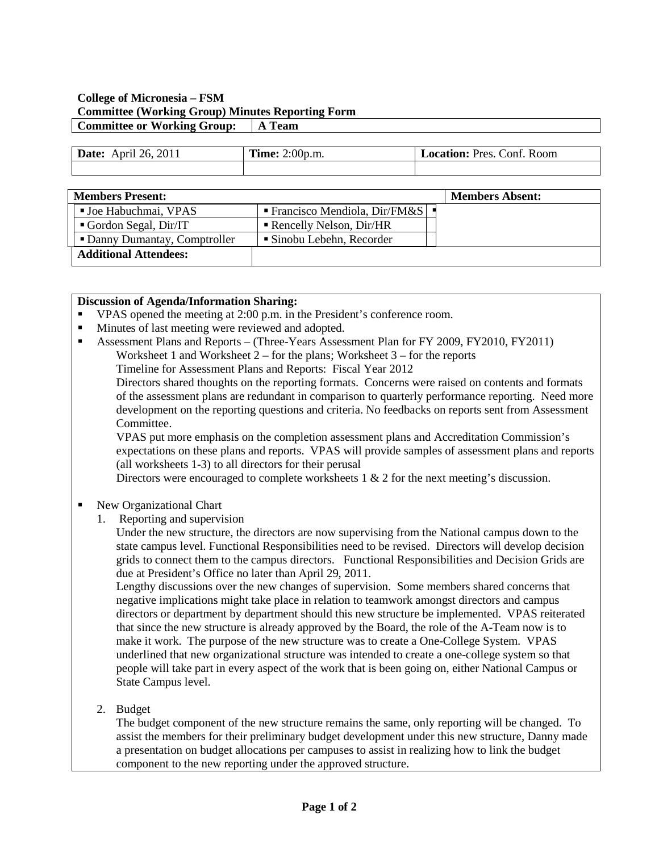# **College of Micronesia – FSM Committee (Working Group) Minutes Reporting Form Committee or Working Group: A Team**

| April 26, 2011<br>Date: | Time:<br>2:00p.m. | <b>Location: Pres. Conf. Room</b> |
|-------------------------|-------------------|-----------------------------------|
|                         |                   |                                   |

| <b>Members Present:</b>       |                                             | <b>Members Absent:</b> |
|-------------------------------|---------------------------------------------|------------------------|
| <b>Joe Habuchmai, VPAS</b>    | $\blacksquare$ Francisco Mendiola, Dir/FM&S |                        |
| Gordon Segal, Dir/IT          | Rencelly Nelson, Dir/HR                     |                        |
| • Danny Dumantay, Comptroller | • Sinobu Lebehn, Recorder                   |                        |
| <b>Additional Attendees:</b>  |                                             |                        |

### **Discussion of Agenda/Information Sharing:**

- VPAS opened the meeting at 2:00 p.m. in the President's conference room.
- **Minutes of last meeting were reviewed and adopted.**
- Assessment Plans and Reports (Three-Years Assessment Plan for FY 2009, FY2010, FY2011) Worksheet 1 and Worksheet 2 – for the plans; Worksheet 3 – for the reports Timeline for Assessment Plans and Reports: Fiscal Year 2012

Directors shared thoughts on the reporting formats. Concerns were raised on contents and formats of the assessment plans are redundant in comparison to quarterly performance reporting. Need more development on the reporting questions and criteria. No feedbacks on reports sent from Assessment Committee.

VPAS put more emphasis on the completion assessment plans and Accreditation Commission's expectations on these plans and reports. VPAS will provide samples of assessment plans and reports (all worksheets 1-3) to all directors for their perusal

Directors were encouraged to complete worksheets  $1 \& 2$  for the next meeting's discussion.

### New Organizational Chart

1. Reporting and supervision

Under the new structure, the directors are now supervising from the National campus down to the state campus level. Functional Responsibilities need to be revised. Directors will develop decision grids to connect them to the campus directors. Functional Responsibilities and Decision Grids are due at President's Office no later than April 29, 2011.

Lengthy discussions over the new changes of supervision. Some members shared concerns that negative implications might take place in relation to teamwork amongst directors and campus directors or department by department should this new structure be implemented. VPAS reiterated that since the new structure is already approved by the Board, the role of the A-Team now is to make it work. The purpose of the new structure was to create a One-College System. VPAS underlined that new organizational structure was intended to create a one-college system so that people will take part in every aspect of the work that is been going on, either National Campus or State Campus level.

2. Budget

The budget component of the new structure remains the same, only reporting will be changed. To assist the members for their preliminary budget development under this new structure, Danny made a presentation on budget allocations per campuses to assist in realizing how to link the budget component to the new reporting under the approved structure.